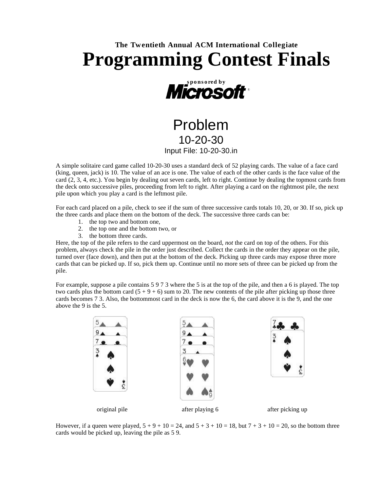

### Problem 10-20-30 Input File: 10-20-30.in

A simple solitaire card game called 10-20-30 uses a standard deck of 52 playing cards. The value of a face card (king, queen, jack) is 10. The value of an ace is one. The value of each of the other cards is the face value of the card (2, 3, 4, etc.). You begin by dealing out seven cards, left to right. Continue by dealing the topmost cards from the deck onto successive piles, proceeding from left to right. After playing a card on the rightmost pile, the next pile upon which you play a card is the leftmost pile.

For each card placed on a pile, check to see if the sum of three successive cards totals 10, 20, or 30. If so, pick up the three cards and place them on the bottom of the deck. The successive three cards can be:

- 1. the top two and bottom one,
- 2. the top one and the bottom two, or
- 3. the bottom three cards.

Here, the top of the pile refers to the card uppermost on the board, *not* the card on top of the others. For this problem, always check the pile in the order just described. Collect the cards in the order they appear on the pile, turned over (face down), and then put at the bottom of the deck. Picking up three cards may expose three more cards that can be picked up. If so, pick them up. Continue until no more sets of three can be picked up from the pile.

For example, suppose a pile contains 5 9 7 3 where the 5 is at the top of the pile, and then a 6 is played. The top two cards plus the bottom card  $(5 + 9 + 6)$  sum to 20. The new contents of the pile after picking up those three cards becomes 7 3. Also, the bottommost card in the deck is now the 6, the card above it is the 9, and the one above the 9 is the 5.



However, if a queen were played,  $5 + 9 + 10 = 24$ , and  $5 + 3 + 10 = 18$ , but  $7 + 3 + 10 = 20$ , so the bottom three cards would be picked up, leaving the pile as 5 9.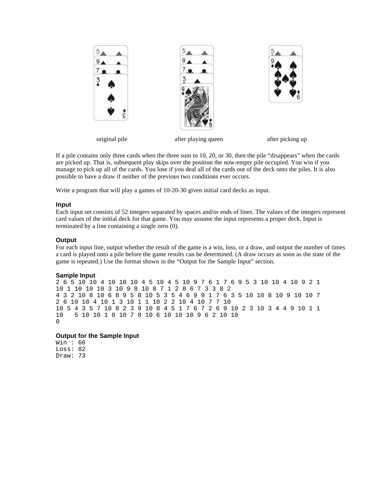

If a pile contains only three cards when the three sum to 10, 20, or 30, then the pile "disappears" when the cards are picked up. That is, subsequent play skips over the position the now-empty pile occupied. You win if you manage to pick up all of the cards. You lose if you deal all of the cards out of the deck onto the piles. It is also possible to have a draw if neither of the previous two conditions ever occurs.

Write a program that will play a games of 10-20-30 given initial card decks as input.

#### **Input**

Each input set consists of 52 integers separated by spaces and/or ends of lines. The values of the integers represent card values of the initial deck for that game. You may assume the input represents a proper deck. Input is terminated by a line containing a single zero (0).

#### **Output**

For each input line, output whether the result of the game is a win, loss, or a draw, and output the number of times a card is played onto a pile before the game results can be determined. (A draw occurs as soon as the state of the game is repeated.) Use the format shown in the "Output for the Sample Input" section.

#### **Sample Input**

2 6 5 10 10 4 10 10 10 4 5 10 4 5 10 9 7 6 1 7 6 9 5 3 10 10 4 10 9 2 1 10 1 10 10 10 3 10 9 8 10 8 7 1 2 8 6 7 3 3 8 2 4 3 2 10 8 10 6 8 9 5 8 10 5 3 5 4 6 9 9 1 7 6 3 5 10 10 8 10 9 10 10 7 2 6 10 10 4 10 1 3 10 1 1 10 2 2 10 4 10 7 7 10 10 5 4 3 5 7 10 8 2 3 9 10 8 4 5 1 7 6 7 2 6 9 10 2 3 10 3 4 4 9 10 1 1 10 5 10 10 1 8 10 7 8 10 6 10 10 10 9 6 2 10 10  $\Omega$ 

#### **Output for the Sample Input**

Win : 66 Loss: 82 Draw: 73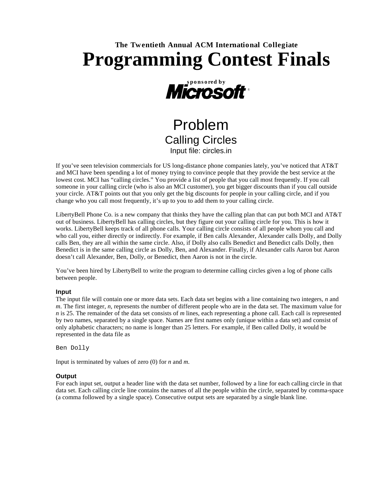

Problem Calling Circles Input file: circles.in

If you've seen television commercials for US long-distance phone companies lately, you've noticed that AT&T and MCI have been spending a lot of money trying to convince people that they provide the best service at the lowest cost. MCI has "calling circles." You provide a list of people that you call most frequently. If you call someone in your calling circle (who is also an MCI customer), you get bigger discounts than if you call outside your circle. AT&T points out that you only get the big discounts for people in your calling circle, and if you change who you call most frequently, it's up to you to add them to your calling circle.

LibertyBell Phone Co. is a new company that thinks they have the calling plan that can put both MCI and AT&T out of business. LibertyBell has calling circles, but they figure out your calling circle for you. This is how it works. LibertyBell keeps track of all phone calls. Your calling circle consists of all people whom you call and who call you, either directly or indirectly. For example, if Ben calls Alexander, Alexander calls Dolly, and Dolly calls Ben, they are all within the same circle. Also, if Dolly also calls Benedict and Benedict calls Dolly, then Benedict is in the same calling circle as Dolly, Ben, and Alexander. Finally, if Alexander calls Aaron but Aaron doesn't call Alexander, Ben, Dolly, or Benedict, then Aaron is not in the circle.

You've been hired by LibertyBell to write the program to determine calling circles given a log of phone calls between people.

#### **Input**

The input file will contain one or more data sets. Each data set begins with a line containing two integers, *n* and *m*. The first integer, *n*, represents the number of different people who are in the data set. The maximum value for *n* is 25. The remainder of the data set consists of *m* lines, each representing a phone call. Each call is represented by two names, separated by a single space. Names are first names only (unique within a data set) and consist of only alphabetic characters; no name is longer than 25 letters. For example, if Ben called Dolly, it would be represented in the data file as

Ben Dolly

Input is terminated by values of zero (0) for *n* and *m*.

#### **Output**

For each input set, output a header line with the data set number, followed by a line for each calling circle in that data set. Each calling circle line contains the names of all the people within the circle, separated by comma-space (a comma followed by a single space). Consecutive output sets are separated by a single blank line.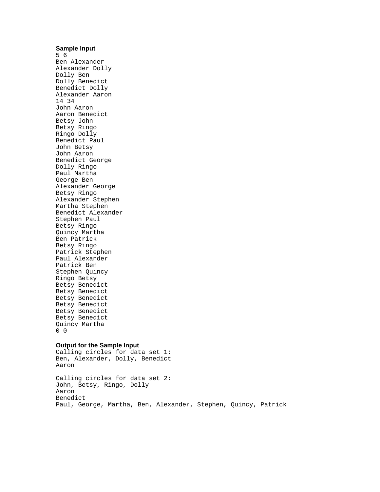#### **Sample Input**

5 6 Ben Alexander Alexander Dolly Dolly Ben Dolly Benedict Benedict Dolly Alexander Aaron 14 34 John Aaron Aaron Benedict Betsy John Betsy Ringo Ringo Dolly Benedict Paul John Betsy John Aaron Benedict George Dolly Ringo Paul Martha George Ben Alexander George Betsy Ringo Alexander Stephen Martha Stephen Benedict Alexander Stephen Paul Betsy Ringo Quincy Martha Ben Patrick Betsy Ringo Patrick Stephen Paul Alexander Patrick Ben Stephen Quincy Ringo Betsy Betsy Benedict Betsy Benedict Betsy Benedict Betsy Benedict Betsy Benedict Betsy Benedict Quincy Martha 0 0

#### **Output for the Sample Input**

Calling circles for data set 1: Ben, Alexander, Dolly, Benedict Aaron

Calling circles for data set 2: John, Betsy, Ringo, Dolly Aaron Benedict Paul, George, Martha, Ben, Alexander, Stephen, Quincy, Patrick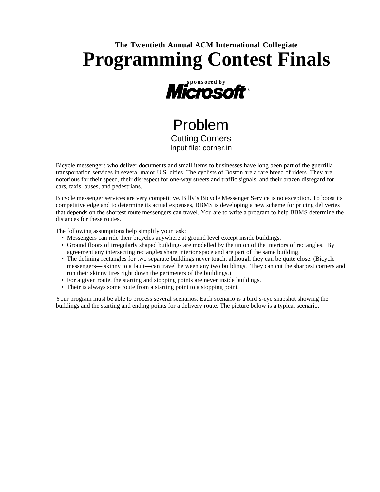

Problem Cutting Corners Input file: corner.in

Bicycle messengers who deliver documents and small items to businesses have long been part of the guerrilla transportation services in several major U.S. cities. The cyclists of Boston are a rare breed of riders. They are notorious for their speed, their disrespect for one-way streets and traffic signals, and their brazen disregard for cars, taxis, buses, and pedestrians.

Bicycle messenger services are very competitive. Billy's Bicycle Messenger Service is no exception. To boost its competitive edge and to determine its actual expenses, BBMS is developing a new scheme for pricing deliveries that depends on the shortest route messengers can travel. You are to write a program to help BBMS determine the distances for these routes.

The following assumptions help simplify your task:

- Messengers can ride their bicycles anywhere at ground level except inside buildings.
- Ground floors of irregularly shaped buildings are modelled by the union of the interiors of rectangles. By agreement any intersecting rectangles share interior space and are part of the same building.
- The defining rectangles for two separate buildings never touch, although they can be quite close. (Bicycle messengers— skinny to a fault—can travel between any two buildings. They can cut the sharpest corners and run their skinny tires right down the perimeters of the buildings.)
- For a given route, the starting and stopping points are never inside buildings.
- Their is always some route from a starting point to a stopping point.

Your program must be able to process several scenarios. Each scenario is a bird's-eye snapshot showing the buildings and the starting and ending points for a delivery route. The picture below is a typical scenario.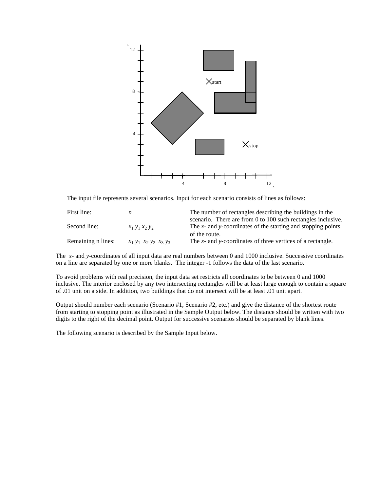

The input file represents several scenarios. Input for each scenario consists of lines as follows:

| First line:        | n                         | The number of rectangles describing the buildings in the         |
|--------------------|---------------------------|------------------------------------------------------------------|
|                    |                           | scenario. There are from 0 to 100 such rectangles inclusive.     |
| Second line:       | $x_1$ $y_1$ $x_2$ $y_2$   | The x- and y-coordinates of the starting and stopping points     |
|                    |                           | of the route.                                                    |
| Remaining n lines: | $x_1 y_1 x_2 y_2 x_3 y_3$ | The $x$ - and $y$ -coordinates of three vertices of a rectangle. |

The *x-* and *y*-coordinates of all input data are real numbers between 0 and 1000 inclusive. Successive coordinates on a line are separated by one or more blanks. The integer -1 follows the data of the last scenario.

To avoid problems with real precision, the input data set restricts all coordinates to be between 0 and 1000 inclusive. The interior enclosed by any two intersecting rectangles will be at least large enough to contain a square of .01 unit on a side. In addition, two buildings that do not intersect will be at least .01 unit apart.

Output should number each scenario (Scenario #1, Scenario #2, etc.) and give the distance of the shortest route from starting to stopping point as illustrated in the Sample Output below. The distance should be written with two digits to the right of the decimal point. Output for successive scenarios should be separated by blank lines.

The following scenario is described by the Sample Input below.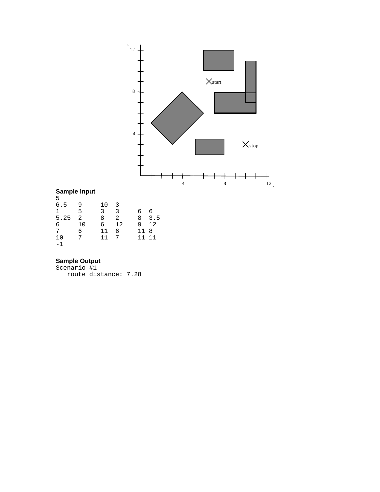

#### **Sample Input**

| 9  | 10 | -3             |    |        |
|----|----|----------------|----|--------|
| 5  | 3  | 3              | б. | 6      |
| 2  | 8. | $\mathfrak{D}$ |    | 8, 3.5 |
| 10 | ნ. | 12             |    | 9 12   |
| б. | 11 | 6              |    | 11 8   |
| 7  | 11 | 7              |    | 11 11  |
|    |    |                |    |        |
|    |    |                |    |        |

#### **Sample Output**

Scenario #1 route distance: 7.28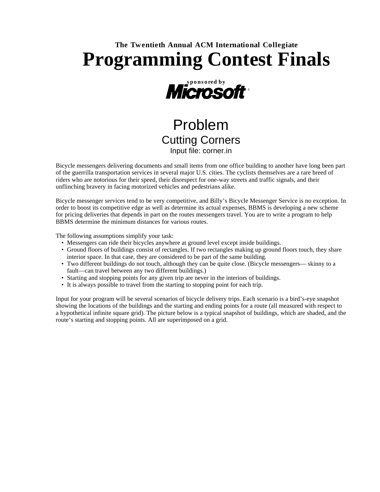

### Problem Cutting Corners Input file: corner.in

Bicycle messengers delivering documents and small items from one office building to another have long been part of the guerrilla transportation services in several major U.S. cities. The cyclists themselves are a rare breed of riders who are notorious for their speed, their disrespect for one-way streets and traffic signals, and their unflinching bravery in facing motorized vehicles and pedestrians alike.

Bicycle messenger services tend to be very competitive, and Billy's Bicycle Messenger Service is no exception. In order to boost its competitive edge as well as determine its actual expenses, BBMS is developing a new scheme for pricing deliveries that depends in part on the routes messengers travel. You are to write a program to help BBMS determine the minimum distances for various routes.

The following assumptions simplify your task:

- Messengers can ride their bicycles anywhere at ground level except inside buildings.
- Ground floors of buildings consist of rectangles. If two rectangles making up ground floors touch, they share interior space. In that case, they are considered to be part of the same building.
- Two different buildings do not touch, although they can be quite close. (Bicycle messengers— skinny to a fault—can travel between any two different buildings.)
- Starting and stopping points for any given trip are never in the interiors of buildings.
- It is always possible to travel from the starting to stopping point for each trip.

Input for your program will be several scenarios of bicycle delivery trips. Each scenario is a bird's-eye snapshot showing the locations of the buildings and the starting and ending points for a route (all measured with respect to a hypothetical infinite square grid). The picture below is a typical snapshot of buildings, which are shaded, and the route's starting and stopping points. All are superimposed on a grid.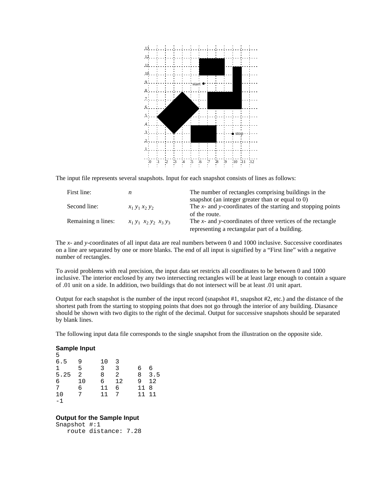

The input file represents several snapshots. Input for each snapshot consists of lines as follows:

| First line:        |                                     | The number of rectangles comprising buildings in the         |
|--------------------|-------------------------------------|--------------------------------------------------------------|
|                    |                                     | snapshot (an integer greater than or equal to 0)             |
| Second line:       | $x_1$ $y_1$ $x_2$ $y_2$             | The x- and y-coordinates of the starting and stopping points |
|                    |                                     | of the route.                                                |
| Remaining n lines: | $x_1$ $y_1$ $x_2$ $y_2$ $x_3$ $y_3$ | The x- and y-coordinates of three vertices of the rectangle  |
|                    |                                     | representing a rectangular part of a building.               |

The *x-* and *y*-coordinates of all input data are real numbers between 0 and 1000 inclusive. Successive coordinates on a line are separated by one or more blanks. The end of all input is signified by a "First line" with a negative number of rectangles.

To avoid problems with real precision, the input data set restricts all coordinates to be between 0 and 1000 inclusive. The interior enclosed by any two intersecting rectangles will be at least large enough to contain a square of .01 unit on a side. In addition, two buildings that do not intersect will be at least .01 unit apart.

Output for each snapshot is the number of the input record (snapshot #1, snapshot #2, etc.) and the distance of the shortest path from the starting to stopping points that does not go through the interior of any building. Diasance should be shown with two digits to the right of the decimal. Output for successive snapshots should be separated by blank lines.

The following input data file corresponds to the single snapshot from the illustration on the opposite side.

#### **Sample Input**

| 5            |    |                |                |       |        |
|--------------|----|----------------|----------------|-------|--------|
| 6.5          | 9  | 10             | $\mathcal{R}$  |       |        |
| $\mathbf{1}$ | 5  | $\overline{3}$ | 3              | б.    | 6      |
| 5.25         | 2  | 8              | $\mathfrak{D}$ |       | 8, 3.5 |
| 6            | 10 | ნ.             | 12             |       | 9 12   |
| $7^{\circ}$  | 6  | 11             | 6              | 11 8  |        |
| 10           | 7  | 11             | 7              | 11 11 |        |
| $-1$         |    |                |                |       |        |
|              |    |                |                |       |        |

#### **Output for the Sample Input**

```
Snapshot #:1
  route distance: 7.28
```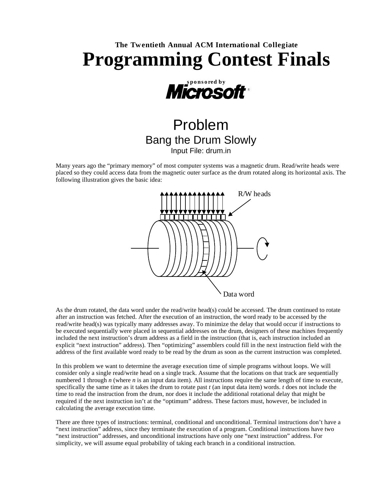

### Problem Bang the Drum Slowly Input File: drum.in

Many years ago the "primary memory" of most computer systems was a magnetic drum. Read/write heads were placed so they could access data from the magnetic outer surface as the drum rotated along its horizontal axis. The following illustration gives the basic idea:



As the drum rotated, the data word under the read/write head(s) could be accessed. The drum continued to rotate after an instruction was fetched. After the execution of an instruction, the word ready to be accessed by the read/write head(s) was typically many addresses away. To minimize the delay that would occur if instructions to be executed sequentially were placed in sequential addresses on the drum, designers of these machines frequently included the next instruction's drum address as a field in the instruction (that is, each instruction included an explicit "next instruction" address). Then "optimizing" assemblers could fill in the next instruction field with the address of the first available word ready to be read by the drum as soon as the current instruction was completed.

In this problem we want to determine the average execution time of simple programs without loops. We will consider only a single read/write head on a single track. Assume that the locations on that track are sequentially numbered 1 through *n* (where *n* is an input data item). All instructions require the same length of time to execute, specifically the same time as it takes the drum to rotate past *t* (an input data item) words. *t* does not include the time to read the instruction from the drum, nor does it include the additional rotational delay that might be required if the next instruction isn't at the "optimum" address. These factors must, however, be included in calculating the average execution time.

There are three types of instructions: terminal, conditional and unconditional. Terminal instructions don't have a "next instruction" address, since they terminate the execution of a program. Conditional instructions have two "next instruction" addresses, and unconditional instructions have only one "next instruction" address. For simplicity, we will assume equal probability of taking each branch in a conditional instruction.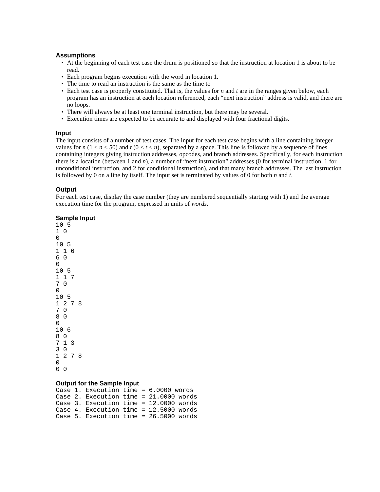#### **Assumptions**

- At the beginning of each test case the drum is positioned so that the instruction at location 1 is about to be read.
- Each program begins execution with the word in location 1.
- The time to read an instruction is the same as the time to
- Each test case is properly constituted. That is, the values for *n* and *t* are in the ranges given below, each program has an instruction at each location referenced, each "next instruction" address is valid, and there are no loops.
- There will always be at least one terminal instruction, but there may be several.
- Execution times are expected to be accurate to and displayed with four fractional digits.

#### **Input**

The input consists of a number of test cases. The input for each test case begins with a line containing integer values for  $n (1 < n < 50)$  and  $t (0 < t < n)$ , separated by a space. This line is followed by a sequence of lines containing integers giving instruction addresses, opcodes, and branch addresses. Specifically, for each instruction there is a location (between 1 and *n*), a number of "next instruction" addresses (0 for terminal instruction, 1 for unconditional instruction, and 2 for conditional instruction), and that many branch addresses. The last instruction is followed by 0 on a line by itself. The input set is terminated by values of 0 for both *n* and *t*.

#### **Output**

For each test case, display the case number (they are numbered sequentially starting with 1) and the average execution time for the program, expressed in units of *words*.

#### **Sample Input**

#### **Output for the Sample Input**

Case 1. Execution time = 6.0000 words Case 2. Execution time = 21.0000 words Case 3. Execution time = 12.0000 words Case 4. Execution time = 12.5000 words Case 5. Execution time = 26.5000 words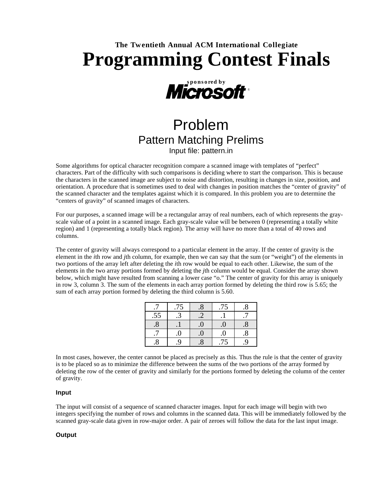

### Problem Pattern Matching Prelims Input file: pattern.in

Some algorithms for optical character recognition compare a scanned image with templates of "perfect" characters. Part of the difficulty with such comparisons is deciding where to start the comparison. This is because the characters in the scanned image are subject to noise and distortion, resulting in changes in size, position, and orientation. A procedure that is sometimes used to deal with changes in position matches the "center of gravity" of the scanned character and the templates against which it is compared. In this problem you are to determine the "centers of gravity" of scanned images of characters.

For our purposes, a scanned image will be a rectangular array of real numbers, each of which represents the grayscale value of a point in a scanned image. Each gray-scale value will be between 0 (representing a totally white region) and 1 (representing a totally black region). The array will have no more than a total of 40 rows and columns.

The center of gravity will always correspond to a particular element in the array. If the center of gravity is the element in the *i*th row and *j*th column, for example, then we can say that the sum (or "weight") of the elements in two portions of the array left after deleting the *i*th row would be equal to each other. Likewise, the sum of the elements in the two array portions formed by deleting the *j*th column would be equal. Consider the array shown below, which might have resulted from scanning a lower case "o." The center of gravity for this array is uniquely in row 3, column 3. The sum of the elements in each array portion formed by deleting the third row is 5.65; the sum of each array portion formed by deleting the third column is 5.60.

|     | .75     | $\boldsymbol{.8}$ | .75      | $\boldsymbol{.8}$ |
|-----|---------|-------------------|----------|-------------------|
| .55 | .3      | .2                |          |                   |
| .8  |         | $_{0}$            | $\bf{0}$ | $\boldsymbol{.8}$ |
|     | $\cdot$ | $_{\rm o}$        | $\cdot$  | .8                |
| .8  | .9      | $\boldsymbol{.8}$ | .75      | .9                |

In most cases, however, the center cannot be placed as precisely as this. Thus the rule is that the center of gravity is to be placed so as to minimize the difference between the sums of the two portions of the array formed by deleting the row of the center of gravity and similarly for the portions formed by deleting the column of the center of gravity.

#### **Input**

The input will consist of a sequence of scanned character images. Input for each image will begin with two integers specifying the number of rows and columns in the scanned data. This will be immediately followed by the scanned gray-scale data given in row-major order. A pair of zeroes will follow the data for the last input image.

### **Output**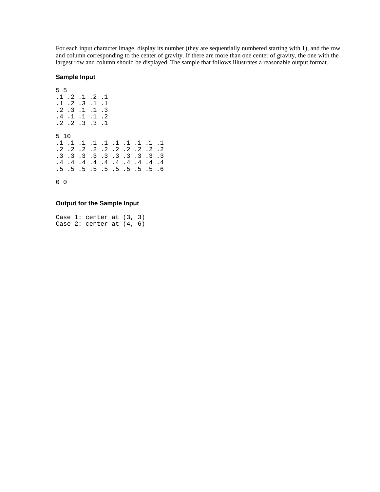For each input character image, display its number (they are sequentially numbered starting with 1), and the row and column corresponding to the center of gravity. If there are more than one center of gravity, the one with the largest row and column should be displayed. The sample that follows illustrates a reasonable output format.

#### **Sample Input**

5 5 .1 .2 .1 .2 .1 .1 .2 .3 .1 .1 .2 .3 .1 .1 .3 .4 .1 .1 .1 .2 .2 .2 .3 .3 .1 5 10 .1 .1 .1 .1 .1 .1 .1 .1 .1 .1 .2 .2 .2 .2 .2 .2 .2 .2 .2 .2 .3 .3 .3 .3 .3 .3 .3 .3 .3 .3 .4 .4 .4 .4 .4 .4 .4 .4 .4 .4 .5 .5 .5 .5 .5 .5 .5 .5 .5 .6

0 0

#### **Output for the Sample Input**

Case 1: center at (3, 3) Case 2: center at  $(4, 6)$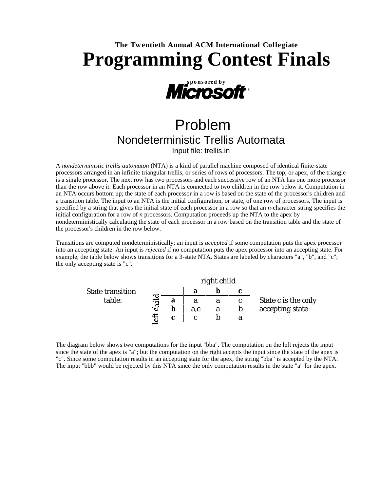

### Problem Nondeterministic Trellis Automata Input file: trellis.in

A *nondeterministic trellis automaton* (NTA) is a kind of parallel machine composed of identical finite-state processors arranged in an infinite triangular trellis, or series of rows of processors. The top, or apex, of the triangle is a single processor. The next row has two processors and each successive row of an NTA has one more processor than the row above it. Each processor in an NTA is connected to two children in the row below it. Computation in an NTA occurs bottom up; the state of each processor in a row is based on the state of the processor's children and a transition table. The input to an NTA is the initial configuration, or state, of one row of processors. The input is specified by a string that gives the initial state of each processor in a row so that an *n*-character string specifies the initial configuration for a row of *n* processors. Computation proceeds up the NTA to the apex by nondeterministically calculating the state of each processor in a row based on the transition table and the state of the processor's children in the row below.

Transitions are computed nondeterministically; an input is *accepted* if some computation puts the apex processor into an accepting state. An input is *rejected* if no computation puts the apex processor into an accepting state. For example, the table below shows transitions for a 3-state NTA. States are labeled by characters "a", "b", and "c"; the only accepting state is "c".

|                         |   |     | right child |                     |
|-------------------------|---|-----|-------------|---------------------|
| <b>State transition</b> |   | a   |             |                     |
| table:                  | a | a   |             | State c is the only |
|                         | b | a,c | a           | accepting state     |
|                         | c |     |             |                     |

The diagram below shows two computations for the input "bba". The computation on the left rejects the input since the state of the apex is "a"; but the computation on the right accepts the input since the state of the apex is "c". Since some computation results in an accepting state for the apex, the string "bba" is accepted by the NTA. The input "bbb" would be rejected by this NTA since the only computation results in the state "a" for the apex.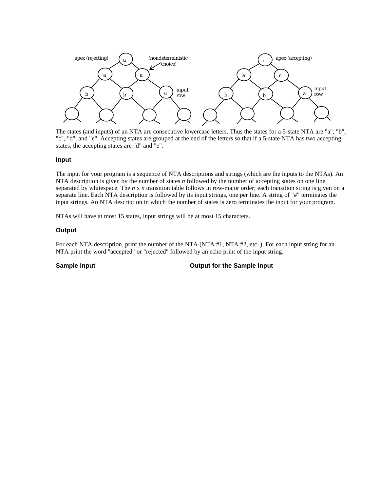

The states (and inputs) of an NTA are consecutive lowercase letters. Thus the states for a 5-state NTA are "a", "b", "c", "d", and "e". Accepting states are grouped at the end of the letters so that if a 5-state NTA has two accepting states, the accepting states are "d" and "e".

#### **Input**

The input for your program is a sequence of NTA descriptions and strings (which are the inputs to the NTAs). An NTA description is given by the number of states *n* followed by the number of accepting states on one line separated by whitespace. The *n* x *n* transition table follows in row-major order; each transition string is given on a separate line. Each NTA description is followed by its input strings, one per line. A string of "#" terminates the input strings. An NTA description in which the number of states is zero terminates the input for your program.

NTAs will have at most 15 states, input strings will be at most 15 characters.

#### **Output**

For each NTA description, print the number of the NTA (NTA #1, NTA #2, etc.). For each input string for an NTA print the word "accepted" or "rejected" followed by an echo print of the input string.

**Sample Input Output for the Sample Input**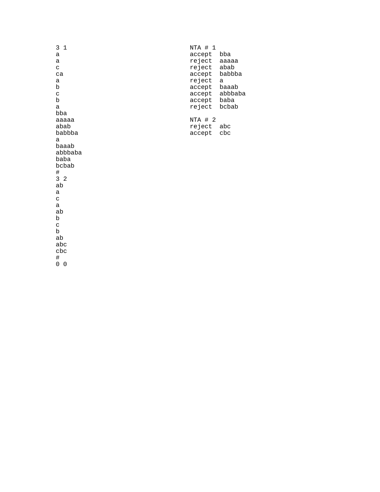| 3 <sub>1</sub> | $NTA$ # 1 |         |
|----------------|-----------|---------|
| a              | accept    | bba     |
| а              | reject    | aaaaa   |
| C              | reject    | abab    |
| ca             | accept    | babbba  |
| а              | reject    | a       |
| b              | accept    | baaab   |
| C              | accept    | abbbaba |
| b              | accept    | baba    |
| a              | reject    | bcbab   |
| bba            |           |         |
| aaaaa          | NTA # 2   |         |
| abab           | reject    | abc     |
| babbba         | accept    | cbc     |
| а              |           |         |
| baaab          |           |         |
| abbbaba        |           |         |
| baba           |           |         |
| bcbab          |           |         |
| #              |           |         |
| 3 <sub>2</sub> |           |         |
| ab             |           |         |
| а              |           |         |
| C              |           |         |
| а              |           |         |
| ab             |           |         |
| b              |           |         |
| C              |           |         |
| b              |           |         |
| ab             |           |         |
| abc            |           |         |
| cbc            |           |         |
| #              |           |         |
| 0 <sub>0</sub> |           |         |
|                |           |         |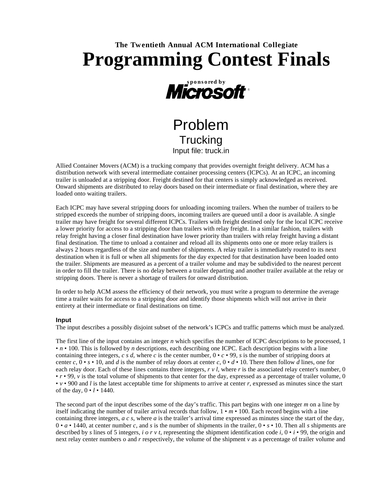

Problem **Trucking** Input file: truck.in

Allied Container Movers (ACM) is a trucking company that provides overnight freight delivery. ACM has a distribution network with several intermediate container processing centers (ICPCs). At an ICPC, an incoming trailer is unloaded at a stripping door. Freight destined for that centers is simply acknowledged as received. Onward shipments are distributed to relay doors based on their intermediate or final destination, where they are loaded onto waiting trailers.

Each ICPC may have several stripping doors for unloading incoming trailers. When the number of trailers to be stripped exceeds the number of stripping doors, incoming trailers are queued until a door is available. A single trailer may have freight for several different ICPCs. Trailers with freight destined only for the local ICPC receive a lower priority for access to a stripping door than trailers with relay freight. In a similar fashion, trailers with relay freight having a closer final destination have lower priority than trailers with relay freight having a distant final destination. The time to unload a container and reload all its shipments onto one or more relay trailers is always 2 hours regardless of the size and number of shipments. A relay trailer is immediately routed to its next destination when it is full or when all shipments for the day expected for that destination have been loaded onto the trailer. Shipments are measured as a percent of a trailer volume and may be subdivided to the nearest percent in order to fill the trailer. There is no delay between a trailer departing and another trailer available at the relay or stripping doors. There is never a shortage of trailers for onward distribution.

In order to help ACM assess the efficiency of their network, you must write a program to determine the average time a trailer waits for access to a stripping door and identify those shipments which will not arrive in their entirety at their intermediate or final destinations on time.

#### **Input**

The input describes a possibly disjoint subset of the network's ICPCs and traffic patterns which must be analyzed.

The first line of the input contains an integer *n* which specifies the number of ICPC descriptions to be processed, 1 • *n* • 100. This is followed by *n* descriptions, each describing one ICPC. Each description begins with a line containing three integers, *c s d*, where *c* is the center number,  $0 \cdot c \cdot 99$ , *s* is the number of stripping doors at center  $c, 0 \cdot s \cdot 10$ , and *d* is the number of relay doors at center  $c, 0 \cdot d \cdot 10$ . There then follow *d* lines, one for each relay door. Each of these lines contains three integers,  $r \, v \, l$ , where  $r$  is the associated relay center's number, 0 • *r* • 99, *v* is the total volume of shipments to that center for the day, expressed as a percentage of trailer volume, 0 • *v* • 900 and *l* is the latest acceptable time for shipments to arrive at center *r*, expressed as minutes since the start of the day, 0 • *l* • 1440.

The second part of the input describes some of the day's traffic. This part begins with one integer *m* on a line by itself indicating the number of trailer arrival records that follow, 1 • *m* • 100. Each record begins with a line containing three integers, *a c s*, where *a* is the trailer's arrival time expressed as minutes since the start of the day, 0 • *a* • 1440, at center number *c*, and *s* is the number of shipments in the trailer, 0 • *s* • 10. Then all *s* shipments are described by *s* lines of 5 integers, *i o r v t*, representing the shipment identification code *i*,  $0 \cdot i \cdot 99$ , the origin and next relay center numbers *o* and *r* respectively, the volume of the shipment *v* as a percentage of trailer volume and